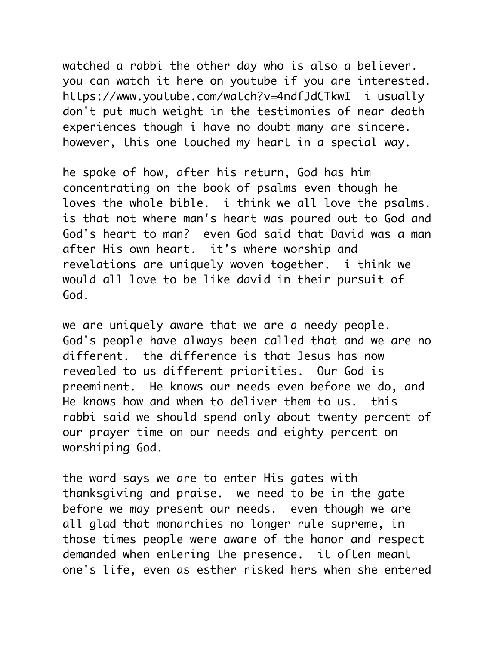watched a rabbi the other day who is also a believer. you can watch it here on youtube if you are interested. https://www.youtube.com/watch?v=4ndfJdCTkwI i usually don't put much weight in the testimonies of near death experiences though i have no doubt many are sincere. however, this one touched my heart in a special way.

he spoke of how, after his return, God has him concentrating on the book of psalms even though he loves the whole bible. i think we all love the psalms. is that not where man's heart was poured out to God and God's heart to man? even God said that David was a man after His own heart. it's where worship and revelations are uniquely woven together. i think we would all love to be like david in their pursuit of God.

we are uniquely aware that we are a needy people. God's people have always been called that and we are no different. the difference is that Jesus has now revealed to us different priorities. Our God is preeminent. He knows our needs even before we do, and He knows how and when to deliver them to us. this rabbi said we should spend only about twenty percent of our prayer time on our needs and eighty percent on worshiping God.

the word says we are to enter His gates with thanksgiving and praise. we need to be in the gate before we may present our needs. even though we are all glad that monarchies no longer rule supreme, in those times people were aware of the honor and respect demanded when entering the presence. it often meant one's life, even as esther risked hers when she entered